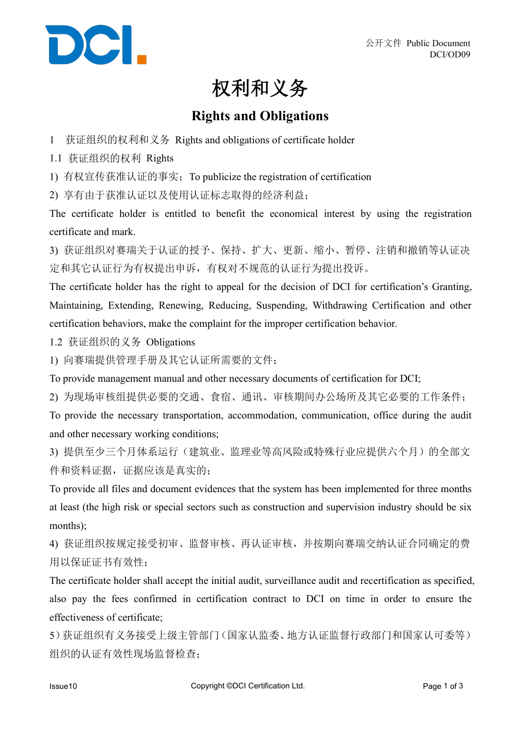

## 权利和义务

## **Rights and Obligations**

- 1 获证组织的权利和义务 Rights and obligations of certificate holder
- 1.1 获证组织的权利 Rights
- 1) 有权宣传获准认证的事实;To publicize the registration of certification

2) 享有由于获准认证以及使用认证标志取得的经济利益;

The certificate holder is entitled to benefit the economical interest by using the registration certificate and mark.

3) 获证组织对赛瑞关于认证的授予、保持、扩大、更新、缩小、暂停、注销和撤销等认证决 定和其它认证行为有权提出申诉,有权对不规范的认证行为提出投诉。

The certificate holder has the right to appeal for the decision of DCI for certification's Granting, Maintaining, Extending, Renewing, Reducing, Suspending, Withdrawing Certification and other certification behaviors, make the complaint for the improper certification behavior.

1.2 获证组织的义务 Obligations

1) 向赛瑞提供管理手册及其它认证所需要的文件;

To provide management manual and other necessary documents of certification for DCI;

2) 为现场审核组提供必要的交通、食宿、通讯、审核期间办公场所及其它必要的工作条件;

To provide the necessary transportation, accommodation, communication, office during the audit and other necessary working conditions;

3) 提供至少三个月体系运行(建筑业、监理业等高风险或特殊行业应提供六个月)的全部文 件和资料证据,证据应该是真实的;

To provide all files and document evidences that the system has been implemented for three months at least (the high risk or special sectors such as construction and supervision industry should be six months);

4) 获证组织按规定接受初审、监督审核、再认证审核,并按期向赛瑞交纳认证合同确定的费 用以保证证书有效性;

The certificate holder shall accept the initial audit, surveillance audit and recertification as specified, also pay the fees confirmed in certification contract to DCI on time in order to ensure the effectiveness of certificate:

5)获证组织有义务接受上级主管部门(国家认监委、地方认证监督行政部门和国家认可委等) 组织的认证有效性现场监督检查;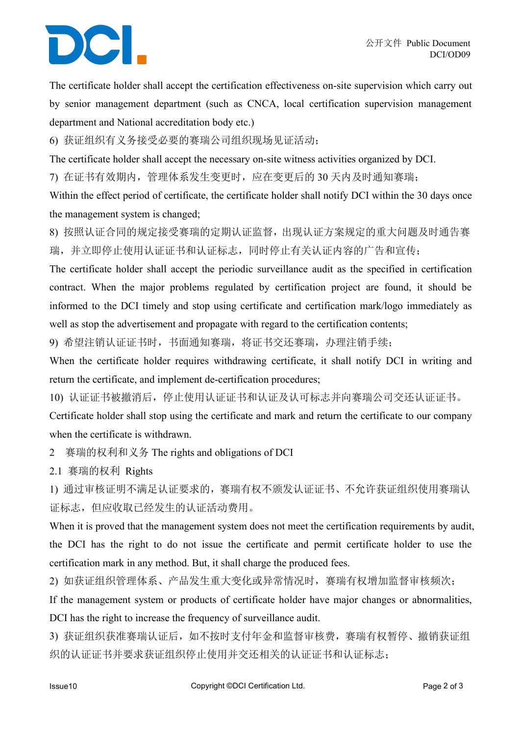## DCI.

The certificate holder shall accept the certification effectiveness on-site supervision which carry out by senior management department (such as CNCA, local certification supervision management department and National accreditation body etc.)

6) 获证组织有义务接受必要的赛瑞公司组织现场见证活动;

The certificate holder shall accept the necessary on-site witness activities organized by DCI.

7) 在证书有效期内,管理体系发生变更时,应在变更后的 30 天内及时通知赛瑞;

Within the effect period of certificate, the certificate holder shall notify DCI within the 30 days once the management system is changed;

8) 按照认证合同的规定接受赛瑞的定期认证监督,出现认证方案规定的重大问题及时通告赛 瑞,并立即停止使用认证证书和认证标志,同时停止有关认证内容的广告和宣传;

The certificate holder shall accept the periodic surveillance audit as the specified in certification contract. When the major problems regulated by certification project are found, it should be informed to the DCI timely and stop using certificate and certification mark/logo immediately as well as stop the advertisement and propagate with regard to the certification contents;

9) 希望注销认证证书时,书面通知赛瑞,将证书交还赛瑞,办理注销手续;

When the certificate holder requires withdrawing certificate, it shall notify DCI in writing and return the certificate, and implement de-certification procedures;

10) 认证证书被撤消后,停止使用认证证书和认证及认可标志并向赛瑞公司交还认证证书。 Certificate holder shall stop using the certificate and mark and return the certificate to our company when the certificate is withdrawn.

2 赛瑞的权利和义务 The rights and obligations ofDCI

2.1 赛瑞的权利 Rights

1) 通过审核证明不满足认证要求的,赛瑞有权不颁发认证证书、不允许获证组织使用赛瑞认 证标志,但应收取已经发生的认证活动费用。

When it is proved that the management system does not meet the certification requirements by audit, the DCI has the right to do not issue the certificate and permit certificate holder to use the certification mark in any method. But, it shall charge the produced fees.

2) 如获证组织管理体系、产品发生重大变化或异常情况时,赛瑞有权增加监督审核频次;

If the management system or products of certificate holder have major changes or abnormalities, DCI has the right to increase the frequency of surveillance audit.

3) 获证组织获准赛瑞认证后,如不按时支付年金和监督审核费,赛瑞有权暂停、撤销获证组 织的认证证书并要求获证组织停止使用并交还相关的认证证书和认证标志;